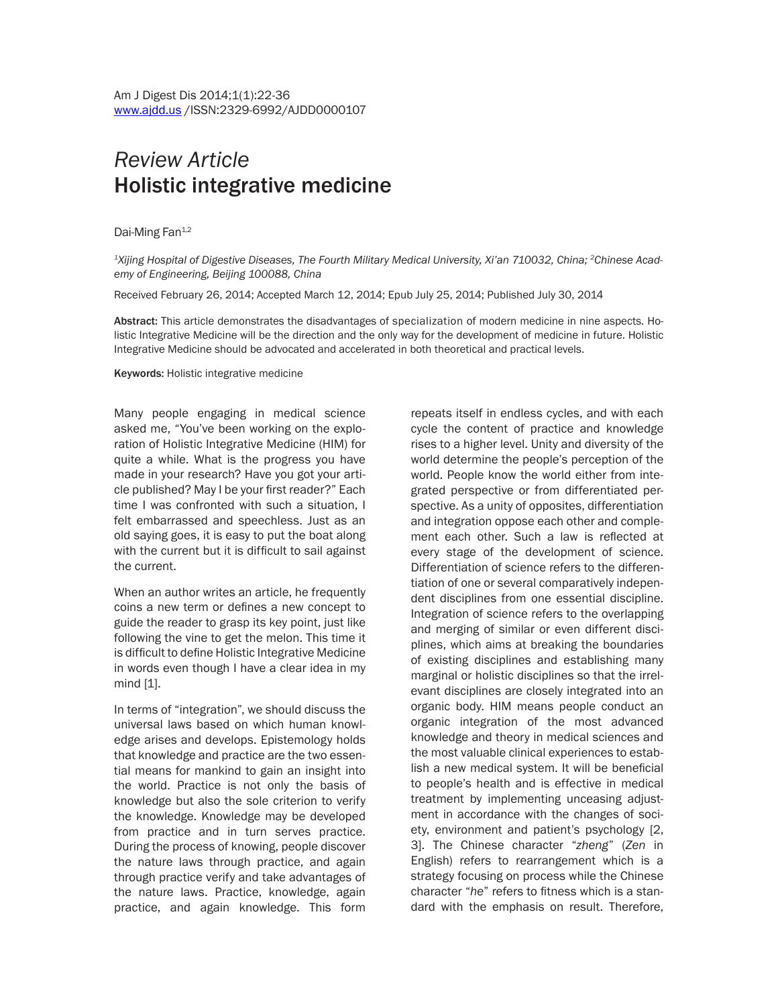# *Review Article* Holistic integrative medicine

Dai-Ming Fan<sup>1,2</sup>

*1Xijing Hospital of Digestive Diseases, The Fourth Military Medical University, Xi'an 710032, China; 2Chinese Academy of Engineering, Beijing 100088, China*

Received February 26, 2014; Accepted March 12, 2014; Epub July 25, 2014; Published July 30, 2014

Abstract: This article demonstrates the disadvantages of specialization of modern medicine in nine aspects. Holistic Integrative Medicine will be the direction and the only way for the development of medicine in future. Holistic Integrative Medicine should be advocated and accelerated in both theoretical and practical levels.

Keywords: Holistic integrative medicine

Many people engaging in medical science asked me, "You've been working on the exploration of Holistic Integrative Medicine (HIM) for quite a while. What is the progress you have made in your research? Have you got your article published? May I be your first reader?" Each time I was confronted with such a situation, I felt embarrassed and speechless. Just as an old saying goes, it is easy to put the boat along with the current but it is difficult to sail against the current.

When an author writes an article, he frequently coins a new term or defines a new concept to guide the reader to grasp its key point, just like following the vine to get the melon. This time it is difficult to define Holistic Integrative Medicine in words even though I have a clear idea in my mind [1].

In terms of "integration", we should discuss the universal laws based on which human knowledge arises and develops. Epistemology holds that knowledge and practice are the two essential means for mankind to gain an insight into the world. Practice is not only the basis of knowledge but also the sole criterion to verify the knowledge. Knowledge may be developed from practice and in turn serves practice. During the process of knowing, people discover the nature laws through practice, and again through practice verify and take advantages of the nature laws. Practice, knowledge, again practice, and again knowledge. This form

repeats itself in endless cycles, and with each cycle the content of practice and knowledge rises to a higher level. Unity and diversity of the world determine the people's perception of the world. People know the world either from integrated perspective or from differentiated perspective. As a unity of opposites, differentiation and integration oppose each other and complement each other. Such a law is reflected at every stage of the development of science. Differentiation of science refers to the differentiation of one or several comparatively independent disciplines from one essential discipline. Integration of science refers to the overlapping and merging of similar or even different disciplines, which aims at breaking the boundaries of existing disciplines and establishing many marginal or holistic disciplines so that the irrelevant disciplines are closely integrated into an organic body. HIM means people conduct an organic integration of the most advanced knowledge and theory in medical sciences and the most valuable clinical experiences to establish a new medical system. It will be beneficial to people's health and is effective in medical treatment by implementing unceasing adjustment in accordance with the changes of society, environment and patient's psychology [2, 3]. The Chinese character "*zheng*" (*Zen* in English) refers to rearrangement which is a strategy focusing on process while the Chinese character "*he*" refers to fitness which is a standard with the emphasis on result. Therefore,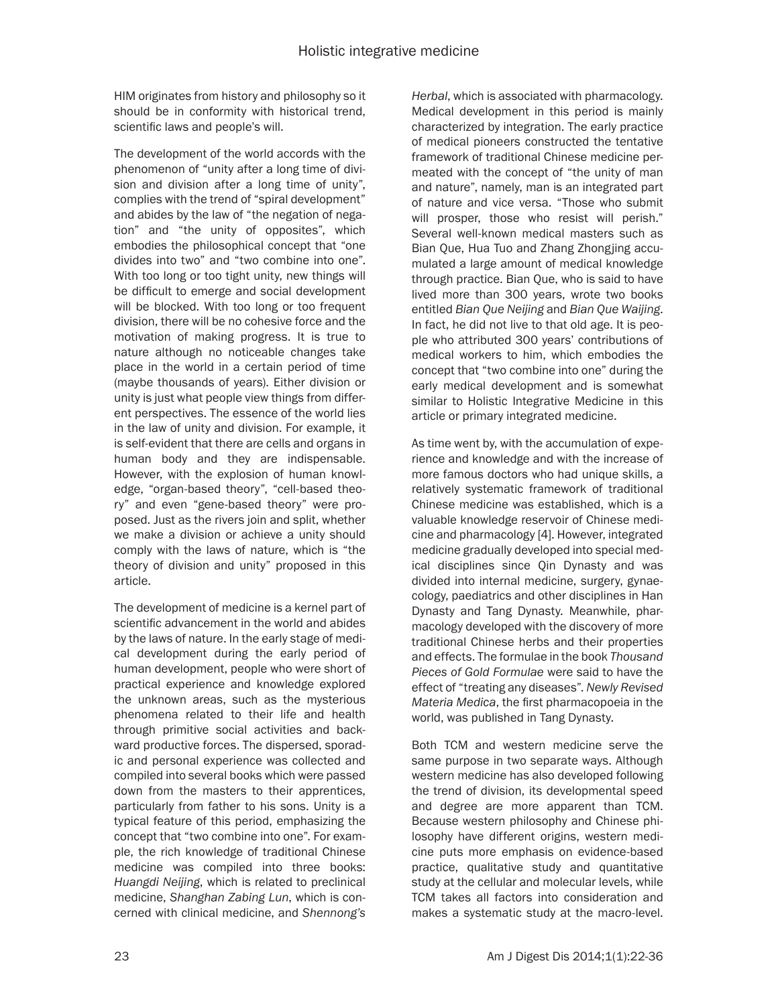HIM originates from history and philosophy so it should be in conformity with historical trend, scientific laws and people's will.

The development of the world accords with the phenomenon of "unity after a long time of division and division after a long time of unity", complies with the trend of "spiral development" and abides by the law of "the negation of negation" and "the unity of opposites", which embodies the philosophical concept that "one divides into two" and "two combine into one". With too long or too tight unity, new things will be difficult to emerge and social development will be blocked. With too long or too frequent division, there will be no cohesive force and the motivation of making progress. It is true to nature although no noticeable changes take place in the world in a certain period of time (maybe thousands of years). Either division or unity is just what people view things from different perspectives. The essence of the world lies in the law of unity and division. For example, it is self-evident that there are cells and organs in human body and they are indispensable. However, with the explosion of human knowledge, "organ-based theory", "cell-based theory" and even "gene-based theory" were proposed. Just as the rivers join and split, whether we make a division or achieve a unity should comply with the laws of nature, which is "the theory of division and unity" proposed in this article.

The development of medicine is a kernel part of scientific advancement in the world and abides by the laws of nature. In the early stage of medical development during the early period of human development, people who were short of practical experience and knowledge explored the unknown areas, such as the mysterious phenomena related to their life and health through primitive social activities and backward productive forces. The dispersed, sporadic and personal experience was collected and compiled into several books which were passed down from the masters to their apprentices, particularly from father to his sons. Unity is a typical feature of this period, emphasizing the concept that "two combine into one". For example, the rich knowledge of traditional Chinese medicine was compiled into three books: *Huangdi Neijing*, which is related to preclinical medicine, *Shanghan Zabing Lun*, which is concerned with clinical medicine, and *Shennong's*  *Herbal*, which is associated with pharmacology. Medical development in this period is mainly characterized by integration. The early practice of medical pioneers constructed the tentative framework of traditional Chinese medicine permeated with the concept of "the unity of man and nature", namely, man is an integrated part of nature and vice versa. "Those who submit will prosper, those who resist will perish." Several well-known medical masters such as Bian Que, Hua Tuo and Zhang Zhongjing accumulated a large amount of medical knowledge through practice. Bian Que, who is said to have lived more than 300 years, wrote two books entitled *Bian Que Neijing* and *Bian Que Waijing*. In fact, he did not live to that old age. It is people who attributed 300 years' contributions of medical workers to him, which embodies the concept that "two combine into one" during the early medical development and is somewhat similar to Holistic Integrative Medicine in this article or primary integrated medicine.

As time went by, with the accumulation of experience and knowledge and with the increase of more famous doctors who had unique skills, a relatively systematic framework of traditional Chinese medicine was established, which is a valuable knowledge reservoir of Chinese medicine and pharmacology [4]. However, integrated medicine gradually developed into special medical disciplines since Qin Dynasty and was divided into internal medicine, surgery, gynaecology, paediatrics and other disciplines in Han Dynasty and Tang Dynasty. Meanwhile, pharmacology developed with the discovery of more traditional Chinese herbs and their properties and effects. The formulae in the book *Thousand Pieces of Gold Formulae* were said to have the effect of "treating any diseases". *Newly Revised Materia Medica*, the first pharmacopoeia in the world, was published in Tang Dynasty.

Both TCM and western medicine serve the same purpose in two separate ways. Although western medicine has also developed following the trend of division, its developmental speed and degree are more apparent than TCM. Because western philosophy and Chinese philosophy have different origins, western medicine puts more emphasis on evidence-based practice, qualitative study and quantitative study at the cellular and molecular levels, while TCM takes all factors into consideration and makes a systematic study at the macro-level.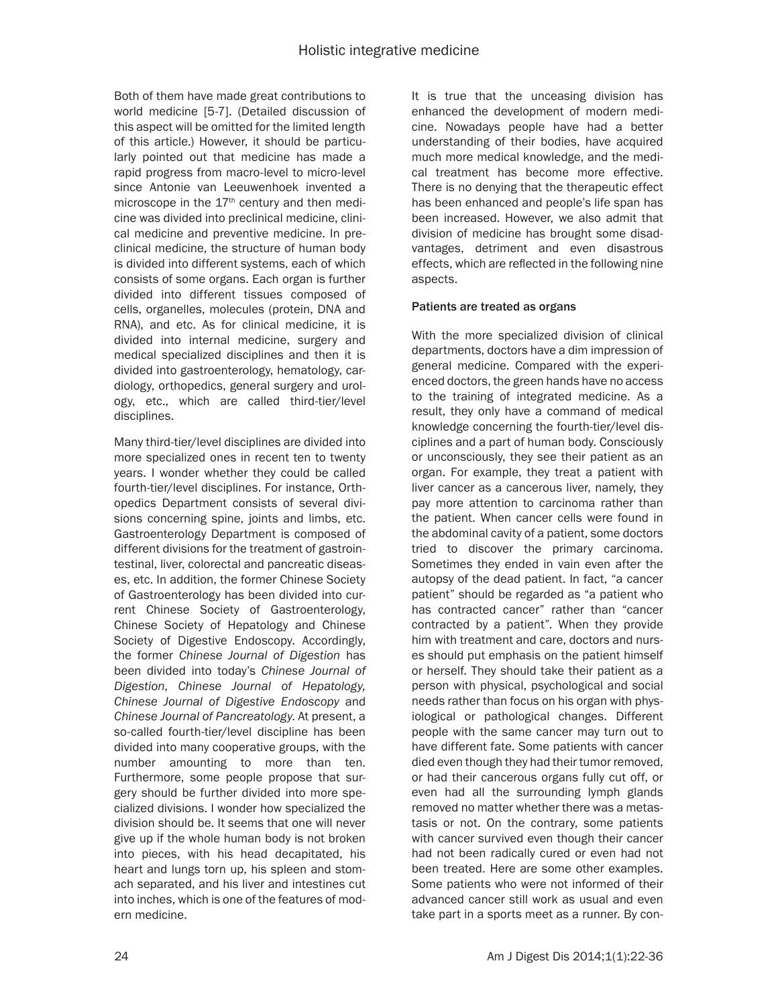Both of them have made great contributions to world medicine [5-7]. (Detailed discussion of this aspect will be omitted for the limited length of this article.) However, it should be particularly pointed out that medicine has made a rapid progress from macro-level to micro-level since Antonie van Leeuwenhoek invented a microscope in the 17<sup>th</sup> century and then medicine was divided into preclinical medicine, clinical medicine and preventive medicine. In preclinical medicine, the structure of human body is divided into different systems, each of which consists of some organs. Each organ is further divided into different tissues composed of cells, organelles, molecules (protein, DNA and RNA), and etc. As for clinical medicine, it is divided into internal medicine, surgery and medical specialized disciplines and then it is divided into gastroenterology, hematology, cardiology, orthopedics, general surgery and urology, etc., which are called third-tier/level disciplines.

Many third-tier/level disciplines are divided into more specialized ones in recent ten to twenty years. I wonder whether they could be called fourth-tier/level disciplines. For instance, Orthopedics Department consists of several divisions concerning spine, joints and limbs, etc. Gastroenterology Department is composed of different divisions for the treatment of gastrointestinal, liver, colorectal and pancreatic diseases, etc. In addition, the former Chinese Society of Gastroenterology has been divided into current Chinese Society of Gastroenterology, Chinese Society of Hepatology and Chinese Society of Digestive Endoscopy. Accordingly, the former *Chinese Journal of Digestion* has been divided into today's *Chinese Journal of Digestion*, *Chinese Journal of Hepatology, Chinese Journal of Digestive Endoscopy* and *Chinese Journal of Pancreatology*. At present, a so-called fourth-tier/level discipline has been divided into many cooperative groups, with the number amounting to more than ten. Furthermore, some people propose that surgery should be further divided into more specialized divisions. I wonder how specialized the division should be. It seems that one will never give up if the whole human body is not broken into pieces, with his head decapitated, his heart and lungs torn up, his spleen and stomach separated, and his liver and intestines cut into inches, which is one of the features of modern medicine.

It is true that the unceasing division has enhanced the development of modern medicine. Nowadays people have had a better understanding of their bodies, have acquired much more medical knowledge, and the medical treatment has become more effective. There is no denying that the therapeutic effect has been enhanced and people's life span has been increased. However, we also admit that division of medicine has brought some disadvantages, detriment and even disastrous effects, which are reflected in the following nine aspects.

## Patients are treated as organs

With the more specialized division of clinical departments, doctors have a dim impression of general medicine. Compared with the experienced doctors, the green hands have no access to the training of integrated medicine. As a result, they only have a command of medical knowledge concerning the fourth-tier/level disciplines and a part of human body. Consciously or unconsciously, they see their patient as an organ. For example, they treat a patient with liver cancer as a cancerous liver, namely, they pay more attention to carcinoma rather than the patient. When cancer cells were found in the abdominal cavity of a patient, some doctors tried to discover the primary carcinoma. Sometimes they ended in vain even after the autopsy of the dead patient. In fact, "a cancer patient" should be regarded as "a patient who has contracted cancer" rather than "cancer contracted by a patient". When they provide him with treatment and care, doctors and nurses should put emphasis on the patient himself or herself. They should take their patient as a person with physical, psychological and social needs rather than focus on his organ with physiological or pathological changes. Different people with the same cancer may turn out to have different fate. Some patients with cancer died even though they had their tumor removed, or had their cancerous organs fully cut off, or even had all the surrounding lymph glands removed no matter whether there was a metastasis or not. On the contrary, some patients with cancer survived even though their cancer had not been radically cured or even had not been treated. Here are some other examples. Some patients who were not informed of their advanced cancer still work as usual and even take part in a sports meet as a runner. By con-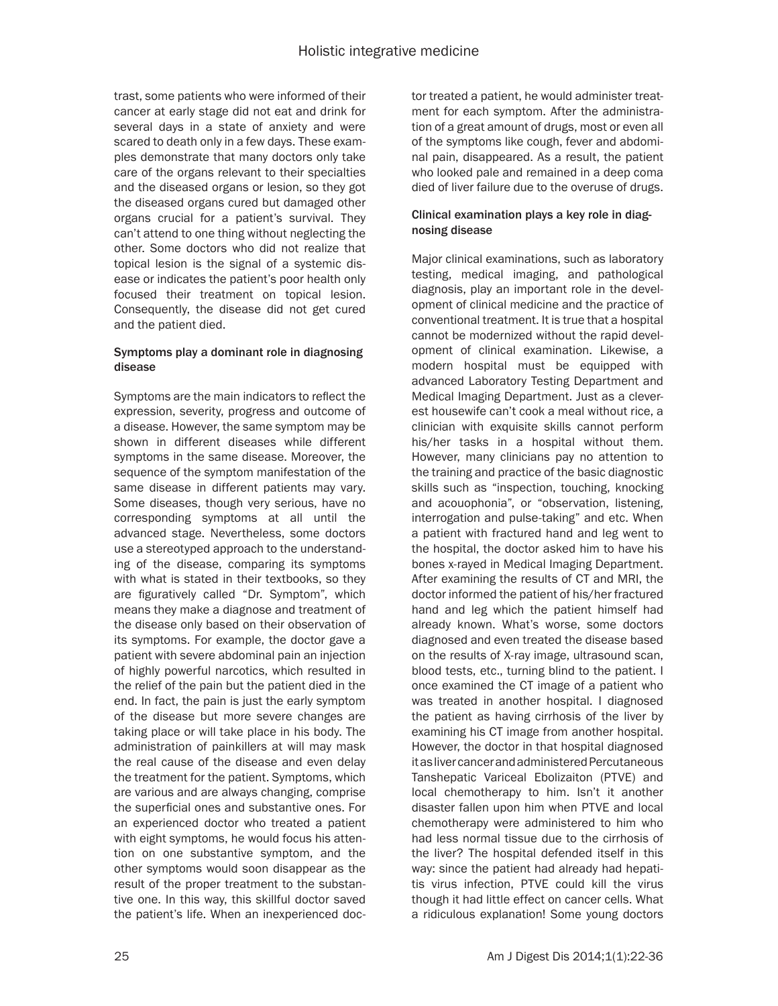trast, some patients who were informed of their cancer at early stage did not eat and drink for several days in a state of anxiety and were scared to death only in a few days. These examples demonstrate that many doctors only take care of the organs relevant to their specialties and the diseased organs or lesion, so they got the diseased organs cured but damaged other organs crucial for a patient's survival. They can't attend to one thing without neglecting the other. Some doctors who did not realize that topical lesion is the signal of a systemic disease or indicates the patient's poor health only focused their treatment on topical lesion. Consequently, the disease did not get cured and the patient died.

# Symptoms play a dominant role in diagnosing disease

Symptoms are the main indicators to reflect the expression, severity, progress and outcome of a disease. However, the same symptom may be shown in different diseases while different symptoms in the same disease. Moreover, the sequence of the symptom manifestation of the same disease in different patients may vary. Some diseases, though very serious, have no corresponding symptoms at all until the advanced stage. Nevertheless, some doctors use a stereotyped approach to the understanding of the disease, comparing its symptoms with what is stated in their textbooks, so they are figuratively called "Dr. Symptom", which means they make a diagnose and treatment of the disease only based on their observation of its symptoms. For example, the doctor gave a patient with severe abdominal pain an injection of highly powerful narcotics, which resulted in the relief of the pain but the patient died in the end. In fact, the pain is just the early symptom of the disease but more severe changes are taking place or will take place in his body. The administration of painkillers at will may mask the real cause of the disease and even delay the treatment for the patient. Symptoms, which are various and are always changing, comprise the superficial ones and substantive ones. For an experienced doctor who treated a patient with eight symptoms, he would focus his attention on one substantive symptom, and the other symptoms would soon disappear as the result of the proper treatment to the substantive one. In this way, this skillful doctor saved the patient's life. When an inexperienced doctor treated a patient, he would administer treatment for each symptom. After the administration of a great amount of drugs, most or even all of the symptoms like cough, fever and abdominal pain, disappeared. As a result, the patient who looked pale and remained in a deep coma died of liver failure due to the overuse of drugs.

## Clinical examination plays a key role in diagnosing disease

Major clinical examinations, such as laboratory testing, medical imaging, and pathological diagnosis, play an important role in the development of clinical medicine and the practice of conventional treatment. It is true that a hospital cannot be modernized without the rapid development of clinical examination. Likewise, a modern hospital must be equipped with advanced Laboratory Testing Department and Medical Imaging Department. Just as a cleverest housewife can't cook a meal without rice, a clinician with exquisite skills cannot perform his/her tasks in a hospital without them. However, many clinicians pay no attention to the training and practice of the basic diagnostic skills such as "inspection, touching, knocking and acouophonia", or "observation, listening, interrogation and pulse-taking" and etc. When a patient with fractured hand and leg went to the hospital, the doctor asked him to have his bones x-rayed in Medical Imaging Department. After examining the results of CT and MRI, the doctor informed the patient of his/her fractured hand and leg which the patient himself had already known. What's worse, some doctors diagnosed and even treated the disease based on the results of X-ray image, ultrasound scan, blood tests, etc., turning blind to the patient. I once examined the CT image of a patient who was treated in another hospital. I diagnosed the patient as having cirrhosis of the liver by examining his CT image from another hospital. However, the doctor in that hospital diagnosed it as liver cancer and administered Percutaneous Tanshepatic Variceal Ebolizaiton (PTVE) and local chemotherapy to him. Isn't it another disaster fallen upon him when PTVE and local chemotherapy were administered to him who had less normal tissue due to the cirrhosis of the liver? The hospital defended itself in this way: since the patient had already had hepatitis virus infection, PTVE could kill the virus though it had little effect on cancer cells. What a ridiculous explanation! Some young doctors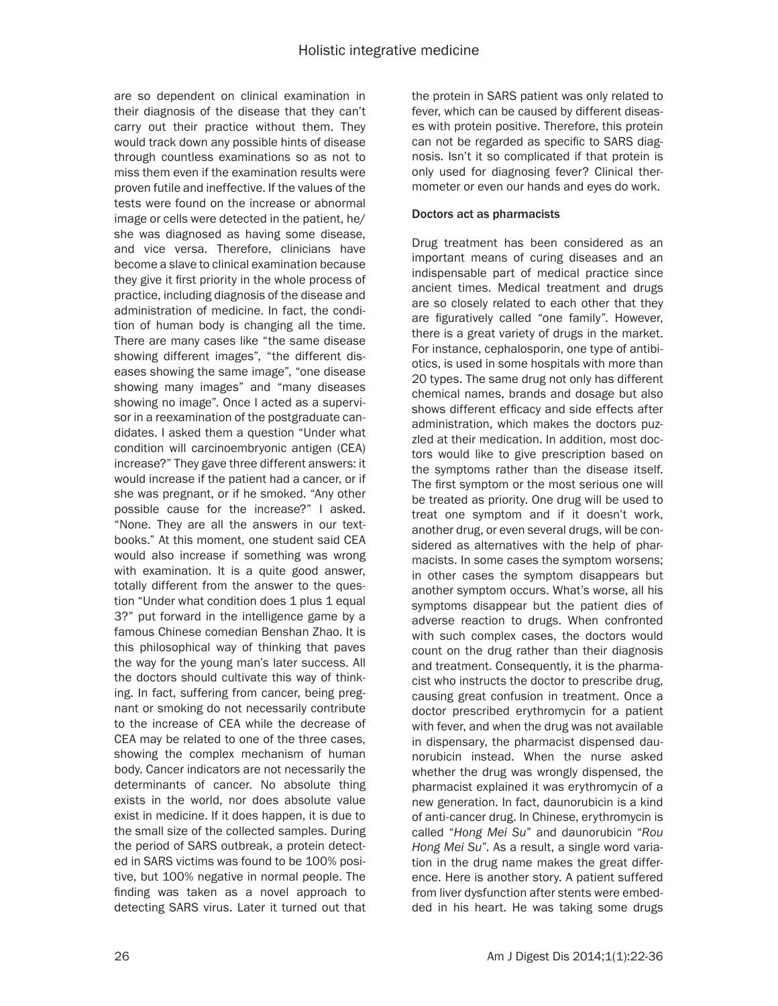are so dependent on clinical examination in their diagnosis of the disease that they can't carry out their practice without them. They would track down any possible hints of disease through countless examinations so as not to miss them even if the examination results were proven futile and ineffective. If the values of the tests were found on the increase or abnormal image or cells were detected in the patient, he/ she was diagnosed as having some disease, and vice versa. Therefore, clinicians have become a slave to clinical examination because they give it first priority in the whole process of practice, including diagnosis of the disease and administration of medicine. In fact, the condition of human body is changing all the time. There are many cases like "the same disease showing different images", "the different diseases showing the same image", "one disease showing many images" and "many diseases showing no image". Once I acted as a supervisor in a reexamination of the postgraduate candidates. I asked them a question "Under what condition will carcinoembryonic antigen (CEA) increase?" They gave three different answers: it would increase if the patient had a cancer, or if she was pregnant, or if he smoked. "Any other possible cause for the increase?" I asked. "None. They are all the answers in our textbooks." At this moment, one student said CEA would also increase if something was wrong with examination. It is a quite good answer, totally different from the answer to the question "Under what condition does 1 plus 1 equal 3?" put forward in the intelligence game by a famous Chinese comedian Benshan Zhao. It is this philosophical way of thinking that paves the way for the young man's later success. All the doctors should cultivate this way of thinking. In fact, suffering from cancer, being pregnant or smoking do not necessarily contribute to the increase of CEA while the decrease of CEA may be related to one of the three cases, showing the complex mechanism of human body. Cancer indicators are not necessarily the determinants of cancer. No absolute thing exists in the world, nor does absolute value exist in medicine. If it does happen, it is due to the small size of the collected samples. During the period of SARS outbreak, a protein detected in SARS victims was found to be 100% positive, but 100% negative in normal people. The finding was taken as a novel approach to detecting SARS virus. Later it turned out that

the protein in SARS patient was only related to fever, which can be caused by different diseases with protein positive. Therefore, this protein can not be regarded as specific to SARS diagnosis. Isn't it so complicated if that protein is only used for diagnosing fever? Clinical thermometer or even our hands and eyes do work.

#### Doctors act as pharmacists

Drug treatment has been considered as an important means of curing diseases and an indispensable part of medical practice since ancient times. Medical treatment and drugs are so closely related to each other that they are figuratively called "one family". However, there is a great variety of drugs in the market. For instance, cephalosporin, one type of antibiotics, is used in some hospitals with more than 20 types. The same drug not only has different chemical names, brands and dosage but also shows different efficacy and side effects after administration, which makes the doctors puzzled at their medication. In addition, most doctors would like to give prescription based on the symptoms rather than the disease itself. The first symptom or the most serious one will be treated as priority. One drug will be used to treat one symptom and if it doesn't work, another drug, or even several drugs, will be considered as alternatives with the help of pharmacists. In some cases the symptom worsens; in other cases the symptom disappears but another symptom occurs. What's worse, all his symptoms disappear but the patient dies of adverse reaction to drugs. When confronted with such complex cases, the doctors would count on the drug rather than their diagnosis and treatment. Consequently, it is the pharmacist who instructs the doctor to prescribe drug, causing great confusion in treatment. Once a doctor prescribed erythromycin for a patient with fever, and when the drug was not available in dispensary, the pharmacist dispensed daunorubicin instead. When the nurse asked whether the drug was wrongly dispensed, the pharmacist explained it was erythromycin of a new generation. In fact, daunorubicin is a kind of anti-cancer drug. In Chinese, erythromycin is called "*Hong Mei Su*" and daunorubicin "*Rou Hong Mei Su*". As a result, a single word variation in the drug name makes the great difference. Here is another story. A patient suffered from liver dysfunction after stents were embedded in his heart. He was taking some drugs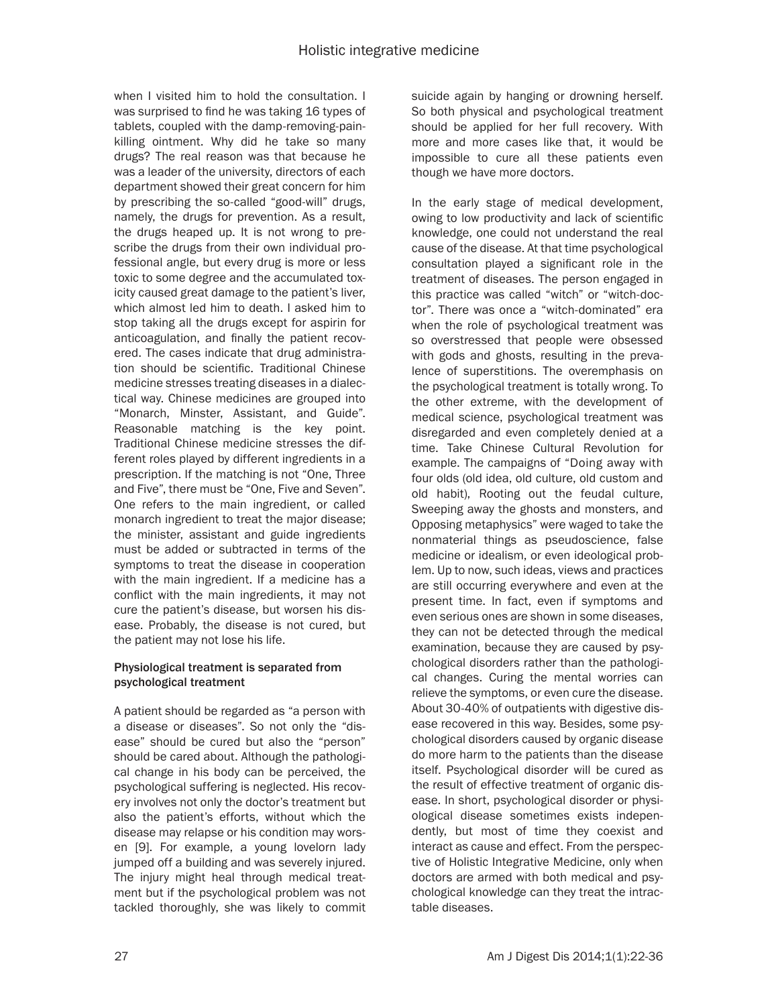when I visited him to hold the consultation. I was surprised to find he was taking 16 types of tablets, coupled with the damp-removing-painkilling ointment. Why did he take so many drugs? The real reason was that because he was a leader of the university, directors of each department showed their great concern for him by prescribing the so-called "good-will" drugs, namely, the drugs for prevention. As a result, the drugs heaped up. It is not wrong to prescribe the drugs from their own individual professional angle, but every drug is more or less toxic to some degree and the accumulated toxicity caused great damage to the patient's liver, which almost led him to death. I asked him to stop taking all the drugs except for aspirin for anticoagulation, and finally the patient recovered. The cases indicate that drug administration should be scientific. Traditional Chinese medicine stresses treating diseases in a dialectical way. Chinese medicines are grouped into "Monarch, Minster, Assistant, and Guide". Reasonable matching is the key point. Traditional Chinese medicine stresses the different roles played by different ingredients in a prescription. If the matching is not "One, Three and Five", there must be "One, Five and Seven". One refers to the main ingredient, or called monarch ingredient to treat the major disease; the minister, assistant and guide ingredients must be added or subtracted in terms of the symptoms to treat the disease in cooperation with the main ingredient. If a medicine has a conflict with the main ingredients, it may not cure the patient's disease, but worsen his disease. Probably, the disease is not cured, but the patient may not lose his life.

# Physiological treatment is separated from psychological treatment

A patient should be regarded as "a person with a disease or diseases". So not only the "disease" should be cured but also the "person" should be cared about. Although the pathological change in his body can be perceived, the psychological suffering is neglected. His recovery involves not only the doctor's treatment but also the patient's efforts, without which the disease may relapse or his condition may worsen [9]. For example, a young lovelorn lady jumped off a building and was severely injured. The injury might heal through medical treatment but if the psychological problem was not tackled thoroughly, she was likely to commit

suicide again by hanging or drowning herself. So both physical and psychological treatment should be applied for her full recovery. With more and more cases like that, it would be impossible to cure all these patients even though we have more doctors.

In the early stage of medical development, owing to low productivity and lack of scientific knowledge, one could not understand the real cause of the disease. At that time psychological consultation played a significant role in the treatment of diseases. The person engaged in this practice was called "witch" or "witch-doctor". There was once a "witch-dominated" era when the role of psychological treatment was so overstressed that people were obsessed with gods and ghosts, resulting in the prevalence of superstitions. The overemphasis on the psychological treatment is totally wrong. To the other extreme, with the development of medical science, psychological treatment was disregarded and even completely denied at a time. Take Chinese Cultural Revolution for example. The campaigns of "Doing away with four olds (old idea, old culture, old custom and old habit), Rooting out the feudal culture, Sweeping away the ghosts and monsters, and Opposing metaphysics" were waged to take the nonmaterial things as pseudoscience, false medicine or idealism, or even ideological problem. Up to now, such ideas, views and practices are still occurring everywhere and even at the present time. In fact, even if symptoms and even serious ones are shown in some diseases, they can not be detected through the medical examination, because they are caused by psychological disorders rather than the pathological changes. Curing the mental worries can relieve the symptoms, or even cure the disease. About 30-40% of outpatients with digestive disease recovered in this way. Besides, some psychological disorders caused by organic disease do more harm to the patients than the disease itself. Psychological disorder will be cured as the result of effective treatment of organic disease. In short, psychological disorder or physiological disease sometimes exists independently, but most of time they coexist and interact as cause and effect. From the perspective of Holistic Integrative Medicine, only when doctors are armed with both medical and psychological knowledge can they treat the intractable diseases.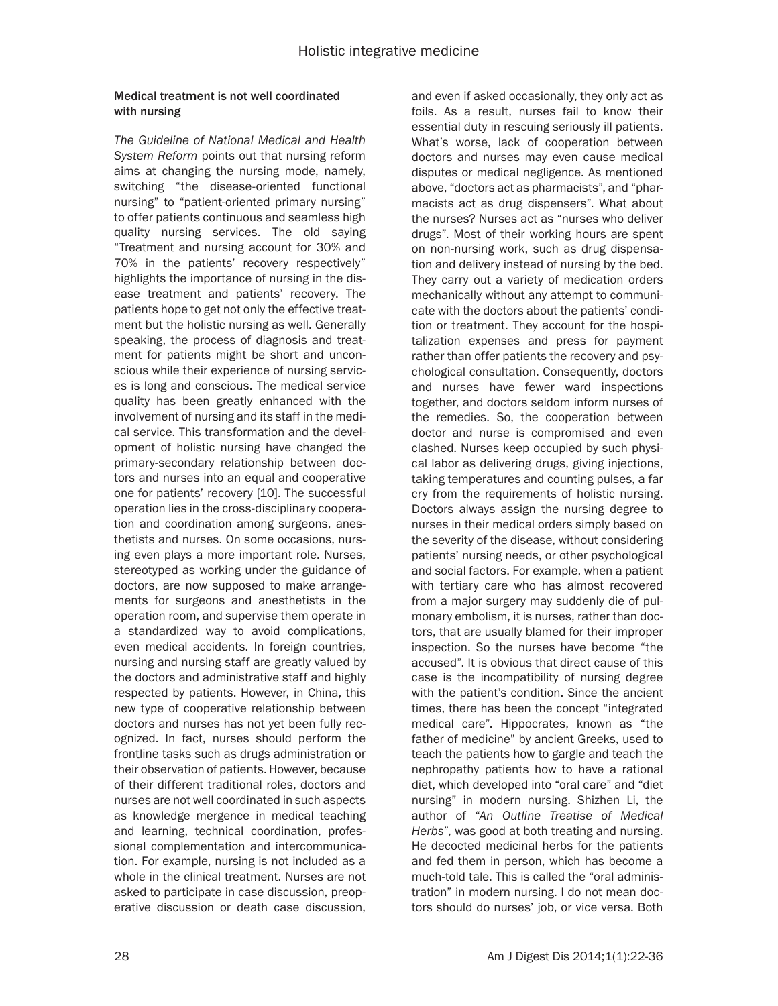#### Medical treatment is not well coordinated with nursing

*The Guideline of National Medical and Health System Reform* points out that nursing reform aims at changing the nursing mode, namely, switching "the disease-oriented functional nursing" to "patient-oriented primary nursing" to offer patients continuous and seamless high quality nursing services. The old saying "Treatment and nursing account for 30% and 70% in the patients' recovery respectively" highlights the importance of nursing in the disease treatment and patients' recovery. The patients hope to get not only the effective treatment but the holistic nursing as well. Generally speaking, the process of diagnosis and treatment for patients might be short and unconscious while their experience of nursing services is long and conscious. The medical service quality has been greatly enhanced with the involvement of nursing and its staff in the medical service. This transformation and the development of holistic nursing have changed the primary-secondary relationship between doctors and nurses into an equal and cooperative one for patients' recovery [10]. The successful operation lies in the cross-disciplinary cooperation and coordination among surgeons, anesthetists and nurses. On some occasions, nursing even plays a more important role. Nurses, stereotyped as working under the guidance of doctors, are now supposed to make arrangements for surgeons and anesthetists in the operation room, and supervise them operate in a standardized way to avoid complications, even medical accidents. In foreign countries, nursing and nursing staff are greatly valued by the doctors and administrative staff and highly respected by patients. However, in China, this new type of cooperative relationship between doctors and nurses has not yet been fully recognized. In fact, nurses should perform the frontline tasks such as drugs administration or their observation of patients. However, because of their different traditional roles, doctors and nurses are not well coordinated in such aspects as knowledge mergence in medical teaching and learning, technical coordination, professional complementation and intercommunication. For example, nursing is not included as a whole in the clinical treatment. Nurses are not asked to participate in case discussion, preoperative discussion or death case discussion,

and even if asked occasionally, they only act as foils. As a result, nurses fail to know their essential duty in rescuing seriously ill patients. What's worse, lack of cooperation between doctors and nurses may even cause medical disputes or medical negligence. As mentioned above, "doctors act as pharmacists", and "pharmacists act as drug dispensers". What about the nurses? Nurses act as "nurses who deliver drugs". Most of their working hours are spent on non-nursing work, such as drug dispensation and delivery instead of nursing by the bed. They carry out a variety of medication orders mechanically without any attempt to communicate with the doctors about the patients' condition or treatment. They account for the hospitalization expenses and press for payment rather than offer patients the recovery and psychological consultation. Consequently, doctors and nurses have fewer ward inspections together, and doctors seldom inform nurses of the remedies. So, the cooperation between doctor and nurse is compromised and even clashed. Nurses keep occupied by such physical labor as delivering drugs, giving injections, taking temperatures and counting pulses, a far cry from the requirements of holistic nursing. Doctors always assign the nursing degree to nurses in their medical orders simply based on the severity of the disease, without considering patients' nursing needs, or other psychological and social factors. For example, when a patient with tertiary care who has almost recovered from a major surgery may suddenly die of pulmonary embolism, it is nurses, rather than doctors, that are usually blamed for their improper inspection. So the nurses have become "the accused". It is obvious that direct cause of this case is the incompatibility of nursing degree with the patient's condition. Since the ancient times, there has been the concept "integrated medical care". Hippocrates, known as "the father of medicine" by ancient Greeks, used to teach the patients how to gargle and teach the nephropathy patients how to have a rational diet, which developed into "oral care" and "diet nursing" in modern nursing. Shizhen Li, the author of "*An Outline Treatise of Medical Herbs*", was good at both treating and nursing. He decocted medicinal herbs for the patients and fed them in person, which has become a much-told tale. This is called the "oral administration" in modern nursing. I do not mean doctors should do nurses' job, or vice versa. Both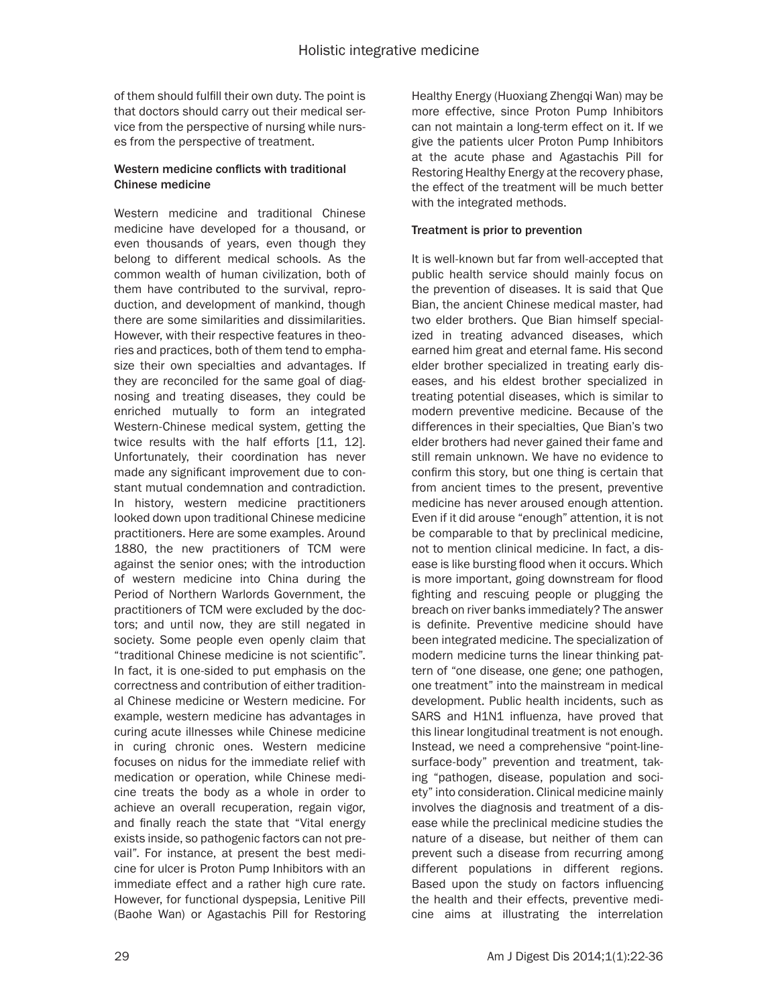of them should fulfill their own duty. The point is that doctors should carry out their medical service from the perspective of nursing while nurses from the perspective of treatment.

#### Western medicine conflicts with traditional Chinese medicine

Western medicine and traditional Chinese medicine have developed for a thousand, or even thousands of years, even though they belong to different medical schools. As the common wealth of human civilization, both of them have contributed to the survival, reproduction, and development of mankind, though there are some similarities and dissimilarities. However, with their respective features in theories and practices, both of them tend to emphasize their own specialties and advantages. If they are reconciled for the same goal of diagnosing and treating diseases, they could be enriched mutually to form an integrated Western-Chinese medical system, getting the twice results with the half efforts [11, 12]. Unfortunately, their coordination has never made any significant improvement due to constant mutual condemnation and contradiction. In history, western medicine practitioners looked down upon traditional Chinese medicine practitioners. Here are some examples. Around 1880, the new practitioners of TCM were against the senior ones; with the introduction of western medicine into China during the Period of Northern Warlords Government, the practitioners of TCM were excluded by the doctors; and until now, they are still negated in society. Some people even openly claim that "traditional Chinese medicine is not scientific". In fact, it is one-sided to put emphasis on the correctness and contribution of either traditional Chinese medicine or Western medicine. For example, western medicine has advantages in curing acute illnesses while Chinese medicine in curing chronic ones. Western medicine focuses on nidus for the immediate relief with medication or operation, while Chinese medicine treats the body as a whole in order to achieve an overall recuperation, regain vigor, and finally reach the state that "Vital energy exists inside, so pathogenic factors can not prevail". For instance, at present the best medicine for ulcer is Proton Pump Inhibitors with an immediate effect and a rather high cure rate. However, for functional dyspepsia, Lenitive Pill (Baohe Wan) or Agastachis Pill for Restoring

Healthy Energy (Huoxiang Zhengqi Wan) may be more effective, since Proton Pump Inhibitors can not maintain a long-term effect on it. If we give the patients ulcer Proton Pump Inhibitors at the acute phase and Agastachis Pill for Restoring Healthy Energy at the recovery phase, the effect of the treatment will be much better with the integrated methods.

# Treatment is prior to prevention

It is well-known but far from well-accepted that public health service should mainly focus on the prevention of diseases. It is said that Que Bian, the ancient Chinese medical master, had two elder brothers. Que Bian himself specialized in treating advanced diseases, which earned him great and eternal fame. His second elder brother specialized in treating early diseases, and his eldest brother specialized in treating potential diseases, which is similar to modern preventive medicine. Because of the differences in their specialties, Que Bian's two elder brothers had never gained their fame and still remain unknown. We have no evidence to confirm this story, but one thing is certain that from ancient times to the present, preventive medicine has never aroused enough attention. Even if it did arouse "enough" attention, it is not be comparable to that by preclinical medicine, not to mention clinical medicine. In fact, a disease is like bursting flood when it occurs. Which is more important, going downstream for flood fighting and rescuing people or plugging the breach on river banks immediately? The answer is definite. Preventive medicine should have been integrated medicine. The specialization of modern medicine turns the linear thinking pattern of "one disease, one gene; one pathogen, one treatment" into the mainstream in medical development. Public health incidents, such as SARS and H1N1 influenza, have proved that this linear longitudinal treatment is not enough. Instead, we need a comprehensive "point-linesurface-body" prevention and treatment, taking "pathogen, disease, population and society" into consideration. Clinical medicine mainly involves the diagnosis and treatment of a disease while the preclinical medicine studies the nature of a disease, but neither of them can prevent such a disease from recurring among different populations in different regions. Based upon the study on factors influencing the health and their effects, preventive medicine aims at illustrating the interrelation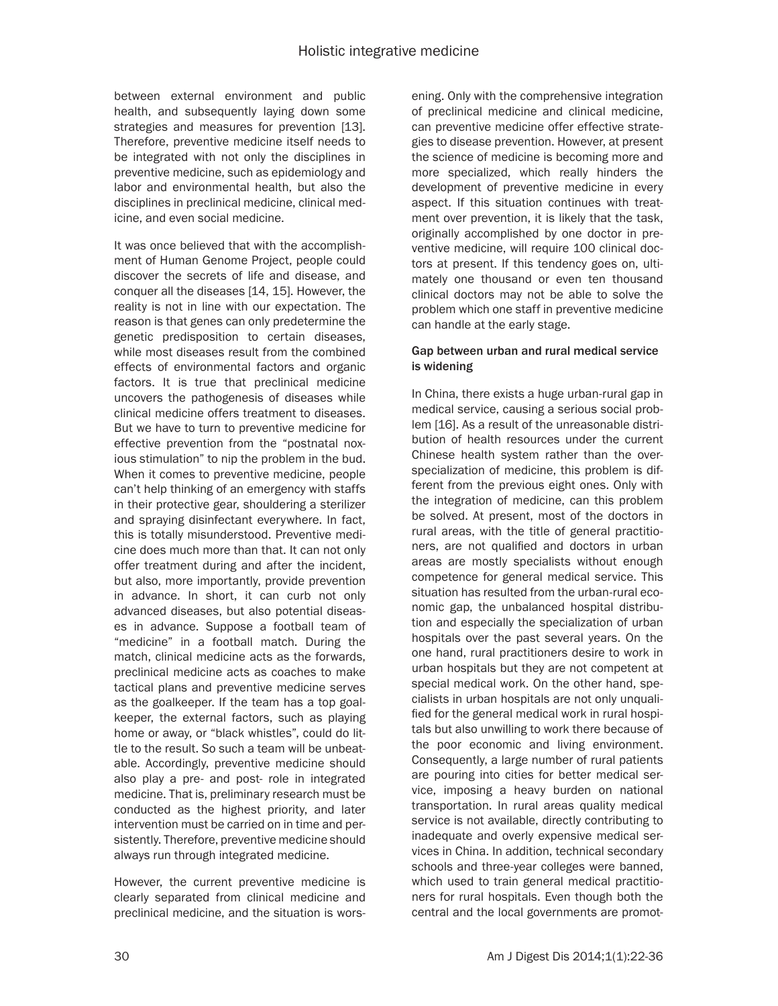between external environment and public health, and subsequently laying down some strategies and measures for prevention [13]. Therefore, preventive medicine itself needs to be integrated with not only the disciplines in preventive medicine, such as epidemiology and labor and environmental health, but also the disciplines in preclinical medicine, clinical medicine, and even social medicine.

It was once believed that with the accomplishment of Human Genome Project, people could discover the secrets of life and disease, and conquer all the diseases [14, 15]. However, the reality is not in line with our expectation. The reason is that genes can only predetermine the genetic predisposition to certain diseases, while most diseases result from the combined effects of environmental factors and organic factors. It is true that preclinical medicine uncovers the pathogenesis of diseases while clinical medicine offers treatment to diseases. But we have to turn to preventive medicine for effective prevention from the "postnatal noxious stimulation" to nip the problem in the bud. When it comes to preventive medicine, people can't help thinking of an emergency with staffs in their protective gear, shouldering a sterilizer and spraying disinfectant everywhere. In fact, this is totally misunderstood. Preventive medicine does much more than that. It can not only offer treatment during and after the incident, but also, more importantly, provide prevention in advance. In short, it can curb not only advanced diseases, but also potential diseases in advance. Suppose a football team of "medicine" in a football match. During the match, clinical medicine acts as the forwards, preclinical medicine acts as coaches to make tactical plans and preventive medicine serves as the goalkeeper. If the team has a top goalkeeper, the external factors, such as playing home or away, or "black whistles", could do little to the result. So such a team will be unbeatable. Accordingly, preventive medicine should also play a pre- and post- role in integrated medicine. That is, preliminary research must be conducted as the highest priority, and later intervention must be carried on in time and persistently. Therefore, preventive medicine should always run through integrated medicine.

However, the current preventive medicine is clearly separated from clinical medicine and preclinical medicine, and the situation is worsening. Only with the comprehensive integration of preclinical medicine and clinical medicine, can preventive medicine offer effective strategies to disease prevention. However, at present the science of medicine is becoming more and more specialized, which really hinders the development of preventive medicine in every aspect. If this situation continues with treatment over prevention, it is likely that the task, originally accomplished by one doctor in preventive medicine, will require 100 clinical doctors at present. If this tendency goes on, ultimately one thousand or even ten thousand clinical doctors may not be able to solve the problem which one staff in preventive medicine can handle at the early stage.

#### Gap between urban and rural medical service is widening

In China, there exists a huge urban-rural gap in medical service, causing a serious social problem [16]. As a result of the unreasonable distribution of health resources under the current Chinese health system rather than the overspecialization of medicine, this problem is different from the previous eight ones. Only with the integration of medicine, can this problem be solved. At present, most of the doctors in rural areas, with the title of general practitioners, are not qualified and doctors in urban areas are mostly specialists without enough competence for general medical service. This situation has resulted from the urban-rural economic gap, the unbalanced hospital distribution and especially the specialization of urban hospitals over the past several years. On the one hand, rural practitioners desire to work in urban hospitals but they are not competent at special medical work. On the other hand, specialists in urban hospitals are not only unqualified for the general medical work in rural hospitals but also unwilling to work there because of the poor economic and living environment. Consequently, a large number of rural patients are pouring into cities for better medical service, imposing a heavy burden on national transportation. In rural areas quality medical service is not available, directly contributing to inadequate and overly expensive medical services in China. In addition, technical secondary schools and three-year colleges were banned, which used to train general medical practitioners for rural hospitals. Even though both the central and the local governments are promot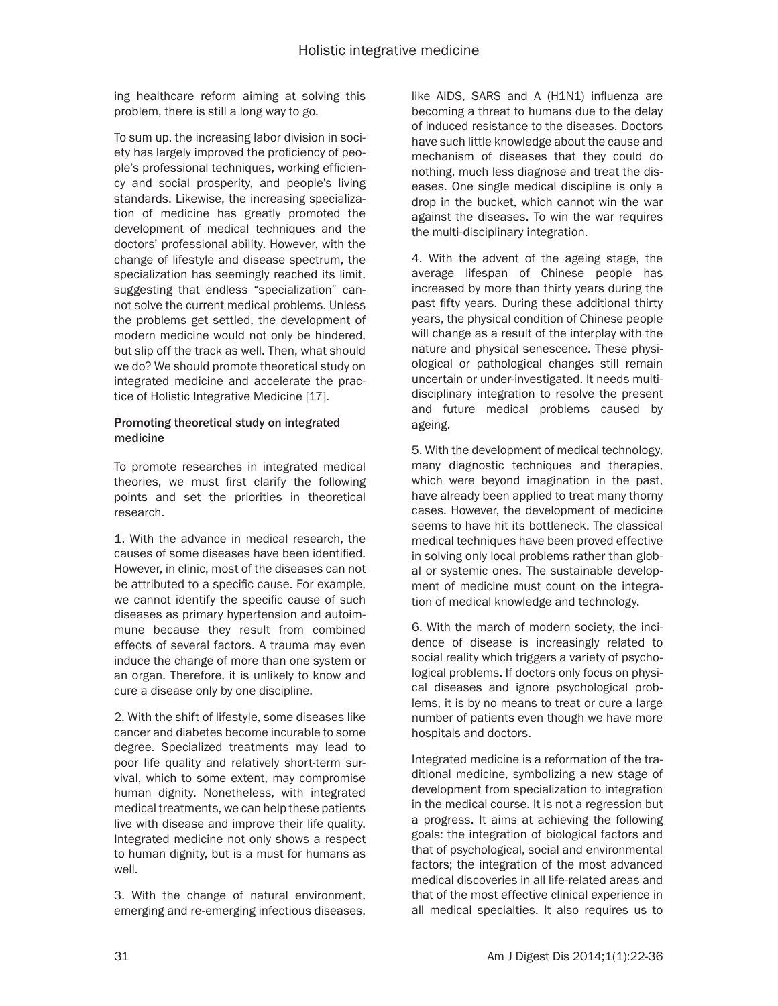ing healthcare reform aiming at solving this problem, there is still a long way to go.

To sum up, the increasing labor division in society has largely improved the proficiency of people's professional techniques, working efficiency and social prosperity, and people's living standards. Likewise, the increasing specialization of medicine has greatly promoted the development of medical techniques and the doctors' professional ability. However, with the change of lifestyle and disease spectrum, the specialization has seemingly reached its limit, suggesting that endless "specialization" cannot solve the current medical problems. Unless the problems get settled, the development of modern medicine would not only be hindered, but slip off the track as well. Then, what should we do? We should promote theoretical study on integrated medicine and accelerate the practice of Holistic Integrative Medicine [17].

#### Promoting theoretical study on integrated medicine

To promote researches in integrated medical theories, we must first clarify the following points and set the priorities in theoretical research.

1. With the advance in medical research, the causes of some diseases have been identified. However, in clinic, most of the diseases can not be attributed to a specific cause. For example, we cannot identify the specific cause of such diseases as primary hypertension and autoimmune because they result from combined effects of several factors. A trauma may even induce the change of more than one system or an organ. Therefore, it is unlikely to know and cure a disease only by one discipline.

2. With the shift of lifestyle, some diseases like cancer and diabetes become incurable to some degree. Specialized treatments may lead to poor life quality and relatively short-term survival, which to some extent, may compromise human dignity. Nonetheless, with integrated medical treatments, we can help these patients live with disease and improve their life quality. Integrated medicine not only shows a respect to human dignity, but is a must for humans as well.

3. With the change of natural environment, emerging and re-emerging infectious diseases, like AIDS, SARS and A (H1N1) influenza are becoming a threat to humans due to the delay of induced resistance to the diseases. Doctors have such little knowledge about the cause and mechanism of diseases that they could do nothing, much less diagnose and treat the diseases. One single medical discipline is only a drop in the bucket, which cannot win the war against the diseases. To win the war requires the multi-disciplinary integration.

4. With the advent of the ageing stage, the average lifespan of Chinese people has increased by more than thirty years during the past fifty years. During these additional thirty years, the physical condition of Chinese people will change as a result of the interplay with the nature and physical senescence. These physiological or pathological changes still remain uncertain or under-investigated. It needs multidisciplinary integration to resolve the present and future medical problems caused by ageing.

5. With the development of medical technology, many diagnostic techniques and therapies, which were beyond imagination in the past, have already been applied to treat many thorny cases. However, the development of medicine seems to have hit its bottleneck. The classical medical techniques have been proved effective in solving only local problems rather than global or systemic ones. The sustainable development of medicine must count on the integration of medical knowledge and technology.

6. With the march of modern society, the incidence of disease is increasingly related to social reality which triggers a variety of psychological problems. If doctors only focus on physical diseases and ignore psychological problems, it is by no means to treat or cure a large number of patients even though we have more hospitals and doctors.

Integrated medicine is a reformation of the traditional medicine, symbolizing a new stage of development from specialization to integration in the medical course. It is not a regression but a progress. It aims at achieving the following goals: the integration of biological factors and that of psychological, social and environmental factors; the integration of the most advanced medical discoveries in all life-related areas and that of the most effective clinical experience in all medical specialties. It also requires us to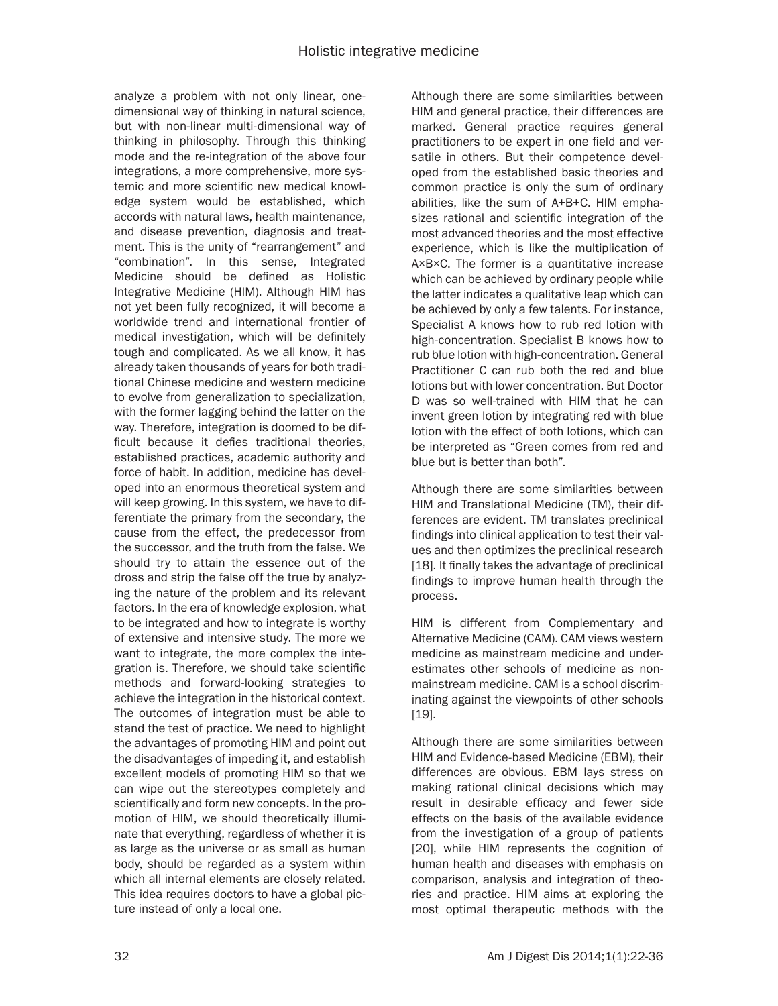analyze a problem with not only linear, onedimensional way of thinking in natural science, but with non-linear multi-dimensional way of thinking in philosophy. Through this thinking mode and the re-integration of the above four integrations, a more comprehensive, more systemic and more scientific new medical knowledge system would be established, which accords with natural laws, health maintenance, and disease prevention, diagnosis and treatment. This is the unity of "rearrangement" and "combination". In this sense, Integrated Medicine should be defined as Holistic Integrative Medicine (HIM). Although HIM has not yet been fully recognized, it will become a worldwide trend and international frontier of medical investigation, which will be definitely tough and complicated. As we all know, it has already taken thousands of years for both traditional Chinese medicine and western medicine to evolve from generalization to specialization, with the former lagging behind the latter on the way. Therefore, integration is doomed to be difficult because it defies traditional theories, established practices, academic authority and force of habit. In addition, medicine has developed into an enormous theoretical system and will keep growing. In this system, we have to differentiate the primary from the secondary, the cause from the effect, the predecessor from the successor, and the truth from the false. We should try to attain the essence out of the dross and strip the false off the true by analyzing the nature of the problem and its relevant factors. In the era of knowledge explosion, what to be integrated and how to integrate is worthy of extensive and intensive study. The more we want to integrate, the more complex the integration is. Therefore, we should take scientific methods and forward-looking strategies to achieve the integration in the historical context. The outcomes of integration must be able to stand the test of practice. We need to highlight the advantages of promoting HIM and point out the disadvantages of impeding it, and establish excellent models of promoting HIM so that we can wipe out the stereotypes completely and scientifically and form new concepts. In the promotion of HIM, we should theoretically illuminate that everything, regardless of whether it is as large as the universe or as small as human body, should be regarded as a system within which all internal elements are closely related. This idea requires doctors to have a global picture instead of only a local one.

Although there are some similarities between HIM and general practice, their differences are marked. General practice requires general practitioners to be expert in one field and versatile in others. But their competence developed from the established basic theories and common practice is only the sum of ordinary abilities, like the sum of A+B+C. HIM emphasizes rational and scientific integration of the most advanced theories and the most effective experience, which is like the multiplication of A×B×C. The former is a quantitative increase which can be achieved by ordinary people while the latter indicates a qualitative leap which can be achieved by only a few talents. For instance, Specialist A knows how to rub red lotion with high-concentration. Specialist B knows how to rub blue lotion with high-concentration. General Practitioner C can rub both the red and blue lotions but with lower concentration. But Doctor D was so well-trained with HIM that he can invent green lotion by integrating red with blue lotion with the effect of both lotions, which can be interpreted as "Green comes from red and blue but is better than both".

Although there are some similarities between HIM and Translational Medicine (TM), their differences are evident. TM translates preclinical findings into clinical application to test their values and then optimizes the preclinical research [18]. It finally takes the advantage of preclinical findings to improve human health through the process.

HIM is different from Complementary and Alternative Medicine (CAM). CAM views western medicine as mainstream medicine and underestimates other schools of medicine as nonmainstream medicine. CAM is a school discriminating against the viewpoints of other schools [19].

Although there are some similarities between HIM and Evidence-based Medicine (EBM), their differences are obvious. EBM lays stress on making rational clinical decisions which may result in desirable efficacy and fewer side effects on the basis of the available evidence from the investigation of a group of patients [20], while HIM represents the cognition of human health and diseases with emphasis on comparison, analysis and integration of theories and practice. HIM aims at exploring the most optimal therapeutic methods with the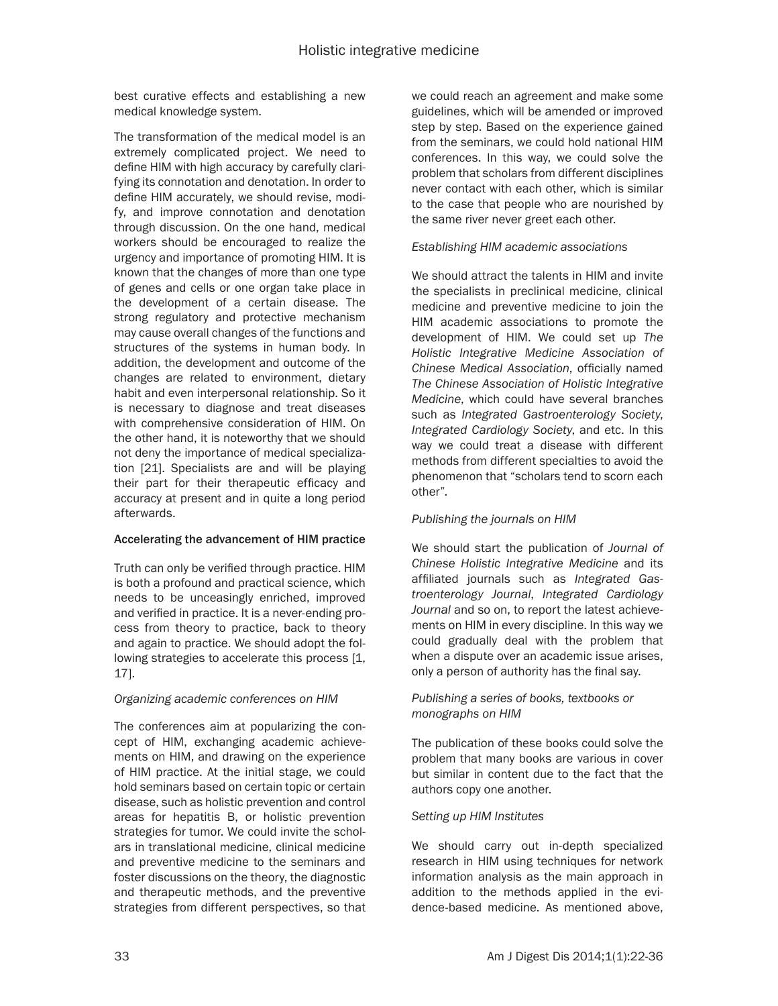best curative effects and establishing a new medical knowledge system.

The transformation of the medical model is an extremely complicated project. We need to define HIM with high accuracy by carefully clarifying its connotation and denotation. In order to define HIM accurately, we should revise, modify, and improve connotation and denotation through discussion. On the one hand, medical workers should be encouraged to realize the urgency and importance of promoting HIM. It is known that the changes of more than one type of genes and cells or one organ take place in the development of a certain disease. The strong regulatory and protective mechanism may cause overall changes of the functions and structures of the systems in human body. In addition, the development and outcome of the changes are related to environment, dietary habit and even interpersonal relationship. So it is necessary to diagnose and treat diseases with comprehensive consideration of HIM. On the other hand, it is noteworthy that we should not deny the importance of medical specialization [21]. Specialists are and will be playing their part for their therapeutic efficacy and accuracy at present and in quite a long period afterwards.

# Accelerating the advancement of HIM practice

Truth can only be verified through practice. HIM is both a profound and practical science, which needs to be unceasingly enriched, improved and verified in practice. It is a never-ending process from theory to practice, back to theory and again to practice. We should adopt the following strategies to accelerate this process [1, 17].

#### *Organizing academic conferences on HIM*

The conferences aim at popularizing the concept of HIM, exchanging academic achievements on HIM, and drawing on the experience of HIM practice. At the initial stage, we could hold seminars based on certain topic or certain disease, such as holistic prevention and control areas for hepatitis B, or holistic prevention strategies for tumor. We could invite the scholars in translational medicine, clinical medicine and preventive medicine to the seminars and foster discussions on the theory, the diagnostic and therapeutic methods, and the preventive strategies from different perspectives, so that we could reach an agreement and make some guidelines, which will be amended or improved step by step. Based on the experience gained from the seminars, we could hold national HIM conferences. In this way, we could solve the problem that scholars from different disciplines never contact with each other, which is similar to the case that people who are nourished by the same river never greet each other.

# *Establishing HIM academic associations*

We should attract the talents in HIM and invite the specialists in preclinical medicine, clinical medicine and preventive medicine to join the HIM academic associations to promote the development of HIM. We could set up *The Holistic Integrative Medicine Association of Chinese Medical Association*, officially named *The Chinese Association of Holistic Integrative Medicine*, which could have several branches such as *Integrated Gastroenterology Society*, *Integrated Cardiology Society*, and etc. In this way we could treat a disease with different methods from different specialties to avoid the phenomenon that "scholars tend to scorn each other".

#### *Publishing the journals on HIM*

We should start the publication of *Journal of Chinese Holistic Integrative Medicine* and its affiliated journals such as *Integrated Gastroenterology Journal*, *Integrated Cardiology Journal* and so on, to report the latest achievements on HIM in every discipline. In this way we could gradually deal with the problem that when a dispute over an academic issue arises, only a person of authority has the final say.

#### *Publishing a series of books, textbooks or monographs on HIM*

The publication of these books could solve the problem that many books are various in cover but similar in content due to the fact that the authors copy one another.

#### *Setting up HIM Institutes*

We should carry out in-depth specialized research in HIM using techniques for network information analysis as the main approach in addition to the methods applied in the evidence-based medicine. As mentioned above,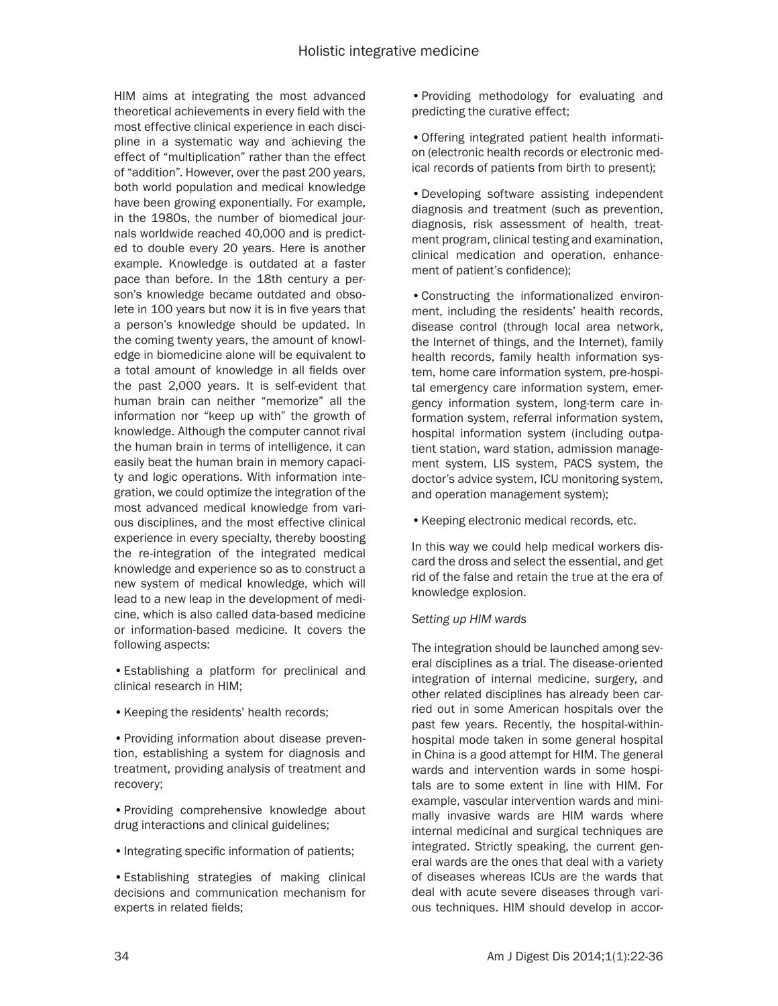HIM aims at integrating the most advanced theoretical achievements in every field with the most effective clinical experience in each discipline in a systematic way and achieving the effect of "multiplication" rather than the effect of "addition". However, over the past 200 years, both world population and medical knowledge have been growing exponentially. For example, in the 1980s, the number of biomedical journals worldwide reached 40,000 and is predicted to double every 20 years. Here is another example. Knowledge is outdated at a faster pace than before. In the 18th century a person's knowledge became outdated and obsolete in 100 years but now it is in five years that a person's knowledge should be updated. In the coming twenty years, the amount of knowledge in biomedicine alone will be equivalent to a total amount of knowledge in all fields over the past 2,000 years. It is self-evident that human brain can neither "memorize" all the information nor "keep up with" the growth of knowledge. Although the computer cannot rival the human brain in terms of intelligence, it can easily beat the human brain in memory capacity and logic operations. With information integration, we could optimize the integration of the most advanced medical knowledge from various disciplines, and the most effective clinical experience in every specialty, thereby boosting the re-integration of the integrated medical knowledge and experience so as to construct a new system of medical knowledge, which will lead to a new leap in the development of medicine, which is also called data-based medicine or information-based medicine. It covers the following aspects:

•Establishing a platform for preclinical and clinical research in HIM;

•Keeping the residents' health records;

•Providing information about disease prevention, establishing a system for diagnosis and treatment, providing analysis of treatment and recovery;

- •Providing comprehensive knowledge about drug interactions and clinical guidelines;
- Integrating specific information of patients;

•Establishing strategies of making clinical decisions and communication mechanism for experts in related fields;

•Providing methodology for evaluating and predicting the curative effect;

•Offering integrated patient health information (electronic health records or electronic medical records of patients from birth to present);

•Developing software assisting independent diagnosis and treatment (such as prevention, diagnosis, risk assessment of health, treatment program, clinical testing and examination, clinical medication and operation, enhancement of patient's confidence);

•Constructing the informationalized environment, including the residents' health records, disease control (through local area network, the Internet of things, and the Internet), family health records, family health information system, home care information system, pre-hospital emergency care information system, emergency information system, long-term care information system, referral information system, hospital information system (including outpatient station, ward station, admission management system, LIS system, PACS system, the doctor's advice system, ICU monitoring system, and operation management system);

•Keeping electronic medical records, etc.

In this way we could help medical workers discard the dross and select the essential, and get rid of the false and retain the true at the era of knowledge explosion.

#### *Setting up HIM wards*

The integration should be launched among several disciplines as a trial. The disease-oriented integration of internal medicine, surgery, and other related disciplines has already been carried out in some American hospitals over the past few years. Recently, the hospital-withinhospital mode taken in some general hospital in China is a good attempt for HIM. The general wards and intervention wards in some hospitals are to some extent in line with HIM. For example, vascular intervention wards and minimally invasive wards are HIM wards where internal medicinal and surgical techniques are integrated. Strictly speaking, the current general wards are the ones that deal with a variety of diseases whereas ICUs are the wards that deal with acute severe diseases through various techniques. HIM should develop in accor-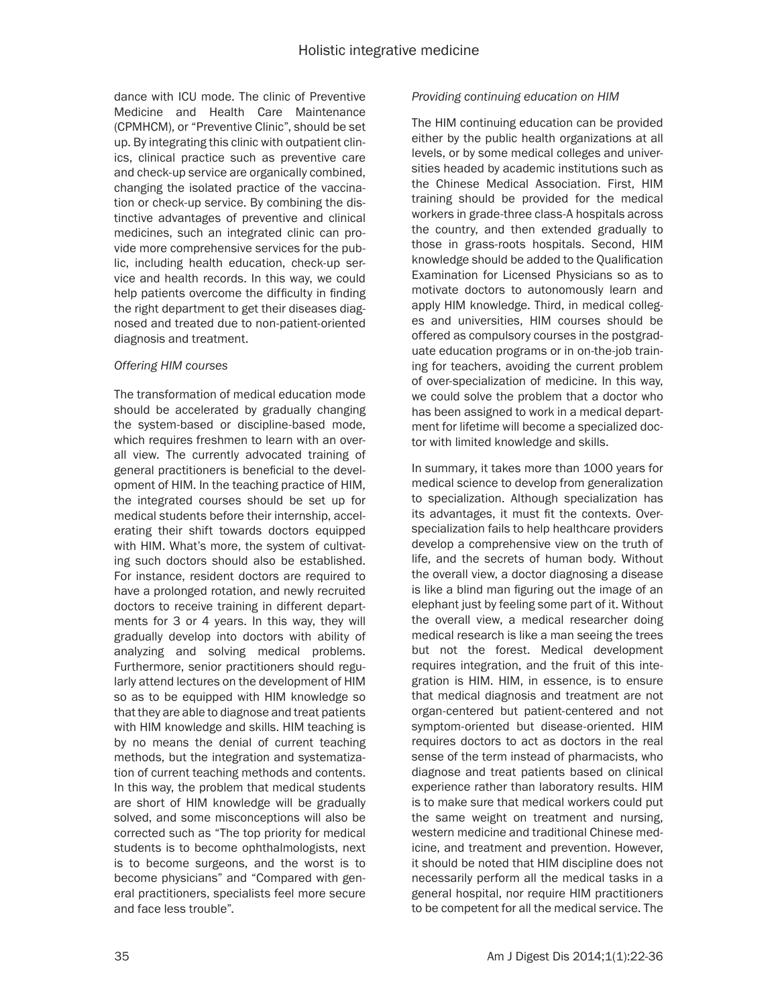dance with ICU mode. The clinic of Preventive Medicine and Health Care Maintenance (CPMHCM), or "Preventive Clinic", should be set up. By integrating this clinic with outpatient clinics, clinical practice such as preventive care and check-up service are organically combined, changing the isolated practice of the vaccination or check-up service. By combining the distinctive advantages of preventive and clinical medicines, such an integrated clinic can provide more comprehensive services for the public, including health education, check-up service and health records. In this way, we could help patients overcome the difficulty in finding the right department to get their diseases diagnosed and treated due to non-patient-oriented diagnosis and treatment.

## *Offering HIM courses*

The transformation of medical education mode should be accelerated by gradually changing the system-based or discipline-based mode, which requires freshmen to learn with an overall view. The currently advocated training of general practitioners is beneficial to the development of HIM. In the teaching practice of HIM, the integrated courses should be set up for medical students before their internship, accelerating their shift towards doctors equipped with HIM. What's more, the system of cultivating such doctors should also be established. For instance, resident doctors are required to have a prolonged rotation, and newly recruited doctors to receive training in different departments for 3 or 4 years. In this way, they will gradually develop into doctors with ability of analyzing and solving medical problems. Furthermore, senior practitioners should regularly attend lectures on the development of HIM so as to be equipped with HIM knowledge so that they are able to diagnose and treat patients with HIM knowledge and skills. HIM teaching is by no means the denial of current teaching methods, but the integration and systematization of current teaching methods and contents. In this way, the problem that medical students are short of HIM knowledge will be gradually solved, and some misconceptions will also be corrected such as "The top priority for medical students is to become ophthalmologists, next is to become surgeons, and the worst is to become physicians" and "Compared with general practitioners, specialists feel more secure and face less trouble".

# *Providing continuing education on HIM*

The HIM continuing education can be provided either by the public health organizations at all levels, or by some medical colleges and universities headed by academic institutions such as the Chinese Medical Association. First, HIM training should be provided for the medical workers in grade-three class-A hospitals across the country, and then extended gradually to those in grass-roots hospitals. Second, HIM knowledge should be added to the Qualification Examination for Licensed Physicians so as to motivate doctors to autonomously learn and apply HIM knowledge. Third, in medical colleges and universities, HIM courses should be offered as compulsory courses in the postgraduate education programs or in on-the-job training for teachers, avoiding the current problem of over-specialization of medicine. In this way, we could solve the problem that a doctor who has been assigned to work in a medical department for lifetime will become a specialized doctor with limited knowledge and skills.

In summary, it takes more than 1000 years for medical science to develop from generalization to specialization. Although specialization has its advantages, it must fit the contexts. Overspecialization fails to help healthcare providers develop a comprehensive view on the truth of life, and the secrets of human body. Without the overall view, a doctor diagnosing a disease is like a blind man figuring out the image of an elephant just by feeling some part of it. Without the overall view, a medical researcher doing medical research is like a man seeing the trees but not the forest. Medical development requires integration, and the fruit of this integration is HIM. HIM, in essence, is to ensure that medical diagnosis and treatment are not organ-centered but patient-centered and not symptom-oriented but disease-oriented. HIM requires doctors to act as doctors in the real sense of the term instead of pharmacists, who diagnose and treat patients based on clinical experience rather than laboratory results. HIM is to make sure that medical workers could put the same weight on treatment and nursing, western medicine and traditional Chinese medicine, and treatment and prevention. However, it should be noted that HIM discipline does not necessarily perform all the medical tasks in a general hospital, nor require HIM practitioners to be competent for all the medical service. The